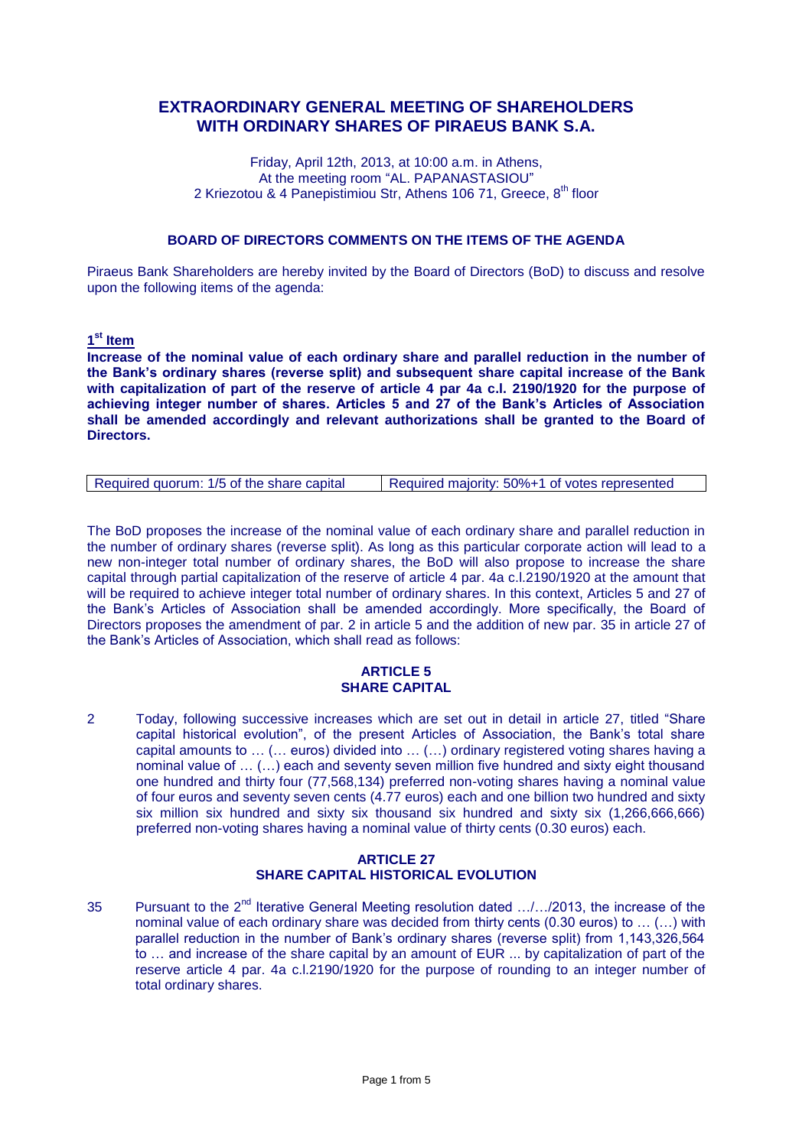# **EXTRAORDINARY GENERAL MEETING OF SHAREHOLDERS WITH ORDINARY SHARES OF PIRAEUS BANK S.A.**

Friday, April 12th, 2013, at 10:00 a.m. in Athens, At the meeting room "AL. PAPANASTASIOU" 2 Kriezotou & 4 Panepistimiou Str, Athens 106 71, Greece, 8<sup>th</sup> floor

# **BOARD OF DIRECTORS COMMENTS ON THE ITEMS OF THE AGENDA**

Piraeus Bank Shareholders are hereby invited by the Board of Directors (BoD) to discuss and resolve upon the following items of the agenda:

**1 st Item**

**Increase of the nominal value of each ordinary share and parallel reduction in the number of the Bank's ordinary shares (reverse split) and subsequent share capital increase of the Bank with capitalization of part of the reserve of article 4 par 4a c.l. 2190/1920 for the purpose of achieving integer number of shares. Articles 5 and 27 of the Bank's Articles of Association shall be amended accordingly and relevant authorizations shall be granted to the Board of Directors.**

| Required majority: 50%+1 of votes represented<br>Required quorum: 1/5 of the share capital |
|--------------------------------------------------------------------------------------------|
|--------------------------------------------------------------------------------------------|

The BoD proposes the increase of the nominal value of each ordinary share and parallel reduction in the number of ordinary shares (reverse split). As long as this particular corporate action will lead to a new non-integer total number of ordinary shares, the BoD will also propose to increase the share capital through partial capitalization of the reserve of article 4 par. 4a c.l.2190/1920 at the amount that will be required to achieve integer total number of ordinary shares. In this context, Articles 5 and 27 of the Bank's Articles of Association shall be amended accordingly. More specifically, the Board of Directors proposes the amendment of par. 2 in article 5 and the addition of new par. 35 in article 27 of the Bank's Articles of Association, which shall read as follows:

# **ARTICLE 5 SHARE CAPITAL**

2 Today, following successive increases which are set out in detail in article 27, titled "Share capital historical evolution", of the present Articles of Association, the Bank's total share capital amounts to … (… euros) divided into … (…) ordinary registered voting shares having a nominal value of … (…) each and seventy seven million five hundred and sixty eight thousand one hundred and thirty four (77,568,134) preferred non-voting shares having a nominal value of four euros and seventy seven cents (4.77 euros) each and one billion two hundred and sixty six million six hundred and sixty six thousand six hundred and sixty six (1,266,666,666) preferred non-voting shares having a nominal value of thirty cents (0.30 euros) each.

# **ARTICLE 27 SHARE CAPITAL HISTORICAL EVOLUTION**

35 Pursuant to the 2<sup>nd</sup> Iterative General Meeting resolution dated .../.../2013, the increase of the nominal value of each ordinary share was decided from thirty cents (0.30 euros) to … (…) with parallel reduction in the number of Bank's ordinary shares (reverse split) from 1,143,326,564 to … and increase of the share capital by an amount of EUR ... by capitalization of part of the reserve article 4 par. 4a c.l.2190/1920 for the purpose of rounding to an integer number of total ordinary shares.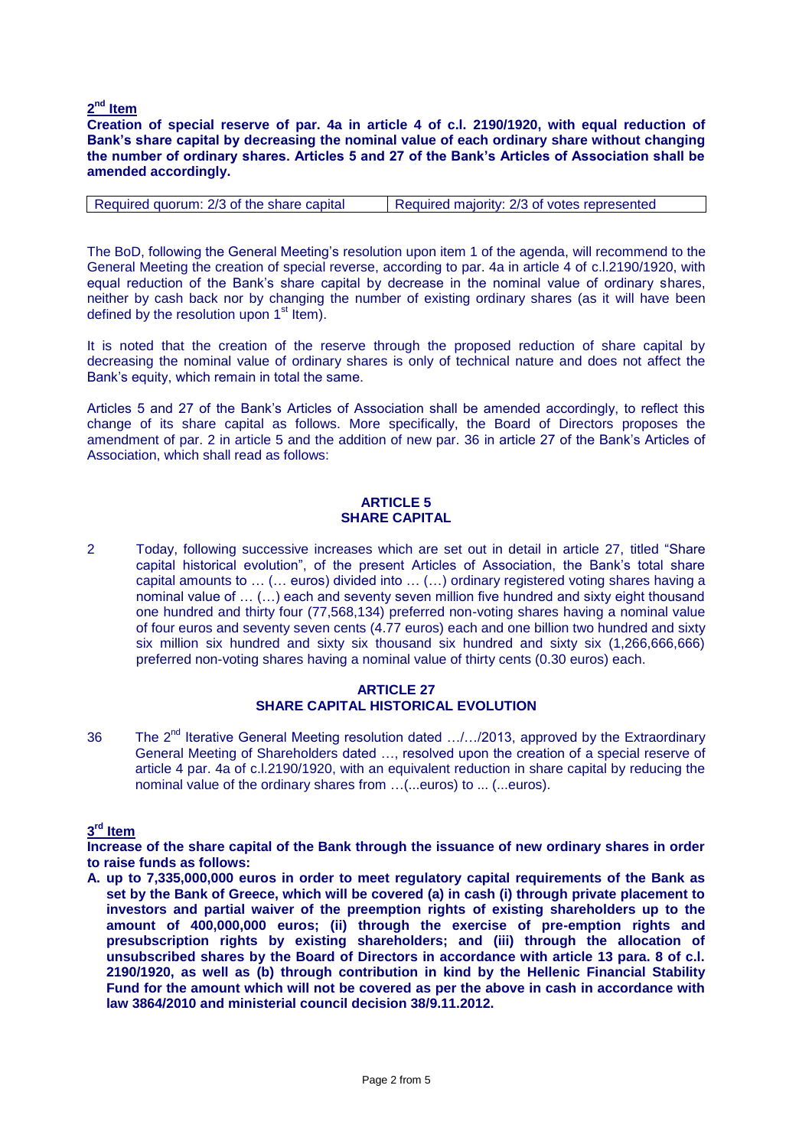# **2 nd Item**

**Creation of special reserve of par. 4a in article 4 of c.l. 2190/1920, with equal reduction of Bank's share capital by decreasing the nominal value of each ordinary share without changing the number of ordinary shares. Articles 5 and 27 of the Bank's Articles of Association shall be amended accordingly.**

| Required quorum: 2/3 of the share capital | Required majority: 2/3 of votes represented |
|-------------------------------------------|---------------------------------------------|
|                                           |                                             |

The BoD, following the General Meeting's resolution upon item 1 of the agenda, will recommend to the General Meeting the creation of special reverse, according to par. 4a in article 4 of c.l.2190/1920, with equal reduction of the Bank's share capital by decrease in the nominal value of ordinary shares, neither by cash back nor by changing the number of existing ordinary shares (as it will have been defined by the resolution upon  $1<sup>st</sup>$  Item).

It is noted that the creation of the reserve through the proposed reduction of share capital by decreasing the nominal value of ordinary shares is only of technical nature and does not affect the Bank's equity, which remain in total the same.

Articles 5 and 27 of the Bank's Articles of Association shall be amended accordingly, to reflect this change of its share capital as follows. More specifically, the Board of Directors proposes the amendment of par. 2 in article 5 and the addition of new par. 36 in article 27 of the Bank's Articles of Association, which shall read as follows:

#### **ARTICLE 5 SHARE CAPITAL**

2 Today, following successive increases which are set out in detail in article 27, titled "Share capital historical evolution", of the present Articles of Association, the Bank's total share capital amounts to … (… euros) divided into … (…) ordinary registered voting shares having a nominal value of … (…) each and seventy seven million five hundred and sixty eight thousand one hundred and thirty four (77,568,134) preferred non-voting shares having a nominal value of four euros and seventy seven cents (4.77 euros) each and one billion two hundred and sixty six million six hundred and sixty six thousand six hundred and sixty six (1,266,666,666) preferred non-voting shares having a nominal value of thirty cents (0.30 euros) each.

#### **ARTICLE 27 SHARE CAPITAL HISTORICAL EVOLUTION**

36 The 2<sup>nd</sup> Iterative General Meeting resolution dated .../.../2013, approved by the Extraordinary General Meeting of Shareholders dated …, resolved upon the creation of a special reserve of article 4 par. 4a of c.l.2190/1920, with an equivalent reduction in share capital by reducing the nominal value of the ordinary shares from …(...euros) to ... (...euros).

# **3 rd Item**

**Increase of the share capital of the Bank through the issuance of new ordinary shares in order to raise funds as follows:**

**A. up to 7,335,000,000 euros in order to meet regulatory capital requirements of the Bank as set by the Bank of Greece, which will be covered (a) in cash (i) through private placement to investors and partial waiver of the preemption rights of existing shareholders up to the amount of 400,000,000 euros; (ii) through the exercise of pre-emption rights and presubscription rights by existing shareholders; and (iii) through the allocation of unsubscribed shares by the Board of Directors in accordance with article 13 para. 8 of c.l. 2190/1920, as well as (b) through contribution in kind by the Hellenic Financial Stability Fund for the amount which will not be covered as per the above in cash in accordance with law 3864/2010 and ministerial council decision 38/9.11.2012.**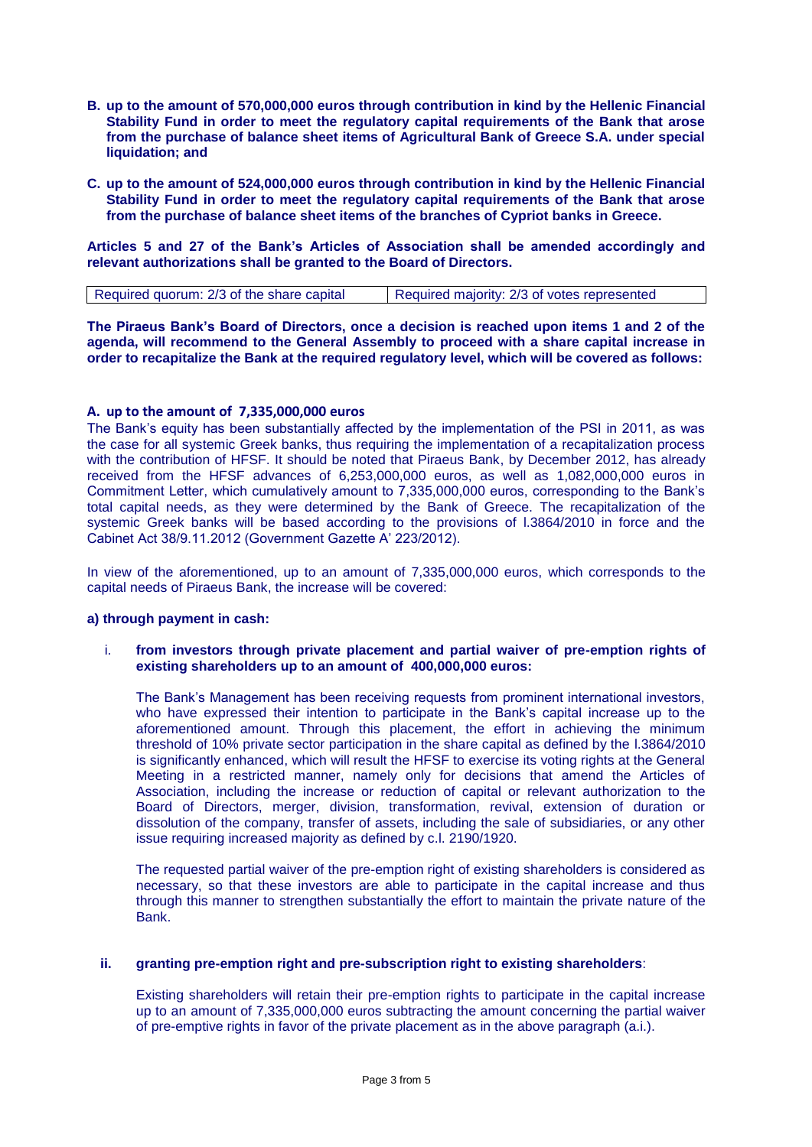- **B. up to the amount of 570,000,000 euros through contribution in kind by the Hellenic Financial Stability Fund in order to meet the regulatory capital requirements of the Bank that arose from the purchase of balance sheet items of Agricultural Bank of Greece S.A. under special liquidation; and**
- **C. up to the amount of 524,000,000 euros through contribution in kind by the Hellenic Financial Stability Fund in order to meet the regulatory capital requirements of the Bank that arose from the purchase of balance sheet items of the branches of Cypriot banks in Greece.**

**Articles 5 and 27 of the Bank's Articles of Association shall be amended accordingly and relevant authorizations shall be granted to the Board of Directors.**

| Required quorum: 2/3 of the share capital | Required majority: 2/3 of votes represented |
|-------------------------------------------|---------------------------------------------|
|                                           |                                             |

**The Piraeus Bank's Board of Directors, once a decision is reached upon items 1 and 2 of the agenda, will recommend to the General Assembly to proceed with a share capital increase in order to recapitalize the Bank at the required regulatory level, which will be covered as follows:**

#### **A. up to the amount of 7,335,000,000 euros**

The Bank's equity has been substantially affected by the implementation of the PSI in 2011, as was the case for all systemic Greek banks, thus requiring the implementation of a recapitalization process with the contribution of HFSF. It should be noted that Piraeus Bank, by December 2012, has already received from the HFSF advances of 6,253,000,000 euros, as well as 1,082,000,000 euros in Commitment Letter, which cumulatively amount to 7,335,000,000 euros, corresponding to the Bank's total capital needs, as they were determined by the Bank of Greece. The recapitalization of the systemic Greek banks will be based according to the provisions of l.3864/2010 in force and the Cabinet Act 38/9.11.2012 (Government Gazette A' 223/2012).

In view of the aforementioned, up to an amount of 7,335,000,000 euros, which corresponds to the capital needs of Piraeus Bank, the increase will be covered:

#### **a) through payment in cash:**

i. **from investors through private placement and partial waiver of pre-emption rights of existing shareholders up to an amount of 400,000,000 euros:** 

The Bank's Management has been receiving requests from prominent international investors, who have expressed their intention to participate in the Bank's capital increase up to the aforementioned amount. Through this placement, the effort in achieving the minimum threshold of 10% private sector participation in the share capital as defined by the l.3864/2010 is significantly enhanced, which will result the HFSF to exercise its voting rights at the General Meeting in a restricted manner, namely only for decisions that amend the Articles of Association, including the increase or reduction of capital or relevant authorization to the Board of Directors, merger, division, transformation, revival, extension of duration or dissolution of the company, transfer of assets, including the sale of subsidiaries, or any other issue requiring increased majority as defined by c.l. 2190/1920.

The requested partial waiver of the pre-emption right of existing shareholders is considered as necessary, so that these investors are able to participate in the capital increase and thus through this manner to strengthen substantially the effort to maintain the private nature of the Bank.

#### **ii. granting pre-emption right and pre-subscription right to existing shareholders**:

Existing shareholders will retain their pre-emption rights to participate in the capital increase up to an amount of 7,335,000,000 euros subtracting the amount concerning the partial waiver of pre-emptive rights in favor of the private placement as in the above paragraph (a.i.).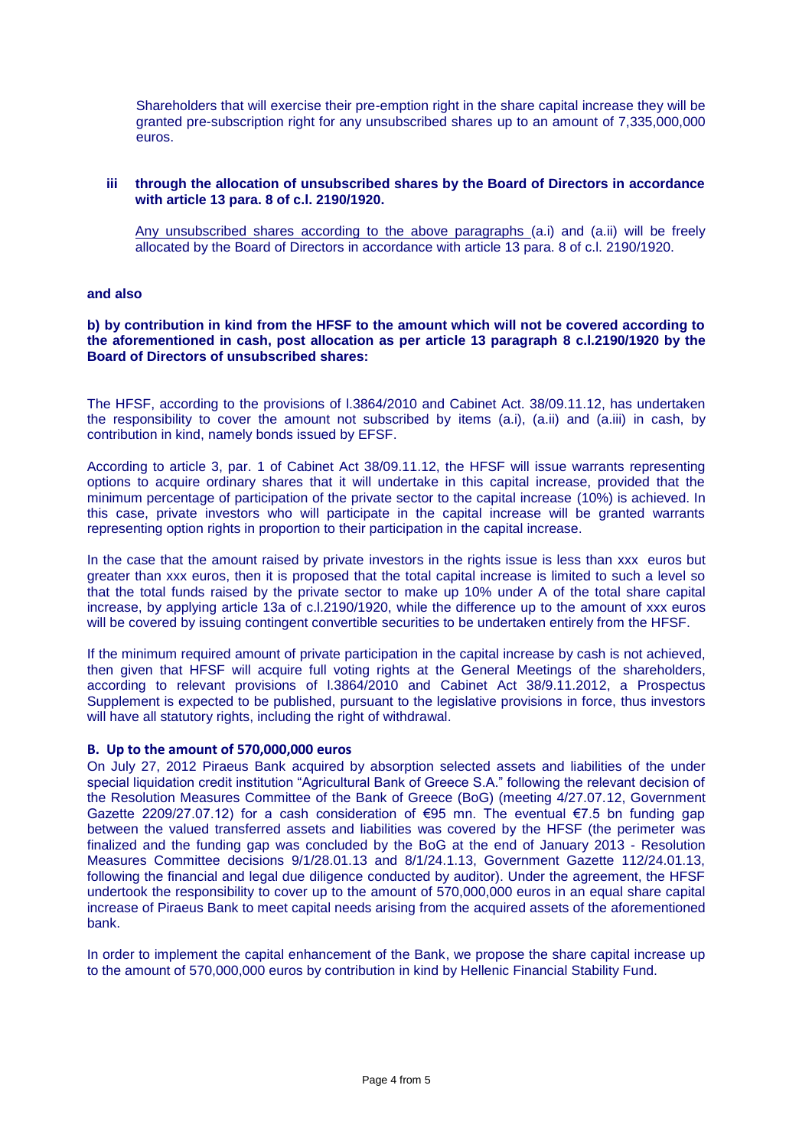Shareholders that will exercise their pre-emption right in the share capital increase they will be granted pre-subscription right for any unsubscribed shares up to an amount of 7,335,000,000 euros.

# **iii through the allocation of unsubscribed shares by the Board of Directors in accordance with article 13 para. 8 of c.l. 2190/1920.**

Any unsubscribed shares according to the above paragraphs (a.i) and (a.ii) will be freely allocated by the Board of Directors in accordance with article 13 para. 8 of c.l. 2190/1920.

**and also** 

#### **b) by contribution in kind from the HFSF to the amount which will not be covered according to the aforementioned in cash, post allocation as per article 13 paragraph 8 c.l.2190/1920 by the Board of Directors of unsubscribed shares:**

The HFSF, according to the provisions of l.3864/2010 and Cabinet Act. 38/09.11.12, has undertaken the responsibility to cover the amount not subscribed by items (a.i), (a.ii) and (a.iii) in cash, by contribution in kind, namely bonds issued by EFSF.

According to article 3, par. 1 of Cabinet Act 38/09.11.12, the HFSF will issue warrants representing options to acquire ordinary shares that it will undertake in this capital increase, provided that the minimum percentage of participation of the private sector to the capital increase (10%) is achieved. In this case, private investors who will participate in the capital increase will be granted warrants representing option rights in proportion to their participation in the capital increase.

In the case that the amount raised by private investors in the rights issue is less than xxx euros but greater than xxx euros, then it is proposed that the total capital increase is limited to such a level so that the total funds raised by the private sector to make up 10% under A of the total share capital increase, by applying article 13a of c.l.2190/1920, while the difference up to the amount of xxx euros will be covered by issuing contingent convertible securities to be undertaken entirely from the HFSF.

If the minimum required amount of private participation in the capital increase by cash is not achieved, then given that HFSF will acquire full voting rights at the General Meetings of the shareholders, according to relevant provisions of l.3864/2010 and Cabinet Act 38/9.11.2012, a Prospectus Supplement is expected to be published, pursuant to the legislative provisions in force, thus investors will have all statutory rights, including the right of withdrawal.

#### **B. Up to the amount of 570,000,000 euros**

On July 27, 2012 Piraeus Bank acquired by absorption selected assets and liabilities of the under special liquidation credit institution "Agricultural Bank of Greece S.A." following the relevant decision of the Resolution Measures Committee of the Bank of Greece (BoG) (meeting 4/27.07.12, Government Gazette 2209/27.07.12) for a cash consideration of €95 mn. The eventual €7.5 bn funding gap between the valued transferred assets and liabilities was covered by the HFSF (the perimeter was finalized and the funding gap was concluded by the BoG at the end of January 2013 - Resolution Measures Committee decisions 9/1/28.01.13 and 8/1/24.1.13, Government Gazette 112/24.01.13, following the financial and legal due diligence conducted by auditor). Under the agreement, the HFSF undertook the responsibility to cover up to the amount of 570,000,000 euros in an equal share capital increase of Piraeus Bank to meet capital needs arising from the acquired assets of the aforementioned bank.

In order to implement the capital enhancement of the Bank, we propose the share capital increase up to the amount of 570,000,000 euros by contribution in kind by Hellenic Financial Stability Fund.